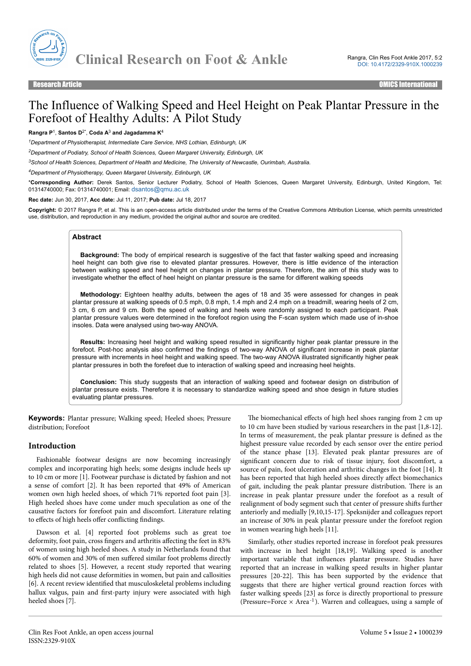

# The Influence of Walking Speed and Heel Height on Peak Plantar Pressure in the Forefoot of Healthy Adults: A Pilot Study

#### **Rangra P**<sup>1</sup> , **Santos D**2\* , **Coda A**<sup>3</sup> **and Jagadamma K**<sup>4</sup>

*<sup>1</sup>Department of Physiotherapist, Intermediate Care Service, NHS Lothian, Edinburgh, UK*

*<sup>2</sup>Department of Podiatry, School of Health Sciences, Queen Margaret University, Edinburgh, UK*

*<sup>3</sup>School of Health Sciences, Department of Health and Medicine, The University of Newcastle, Ourimbah, Australia.*

*<sup>4</sup>Department of Physiotherapy, Queen Margaret University, Edinburgh, UK*

\***Corresponding Author:** Derek Santos, Senior Lecturer Podiatry, School of Health Sciences, Queen Margaret University, Edinburgh, United Kingdom, Tel: 01314740000; Fax: 01314740001; Email: [dsantos@qmu.ac.uk](mailto:dsantos@qmu.ac.uk)

**Rec date:** Jun 30, 2017, **Acc date:** Jul 11, 2017; **Pub date:** Jul 18, 2017

**Copyright:** © 2017 Rangra P, et al. This is an open-access article distributed under the terms of the Creative Commons Attribution License, which permits unrestricted use, distribution, and reproduction in any medium, provided the original author and source are credited.

#### **Abstract**

**Background:** The body of empirical research is suggestive of the fact that faster walking speed and increasing heel height can both give rise to elevated plantar pressures. However, there is little evidence of the interaction between walking speed and heel height on changes in plantar pressure. Therefore, the aim of this study was to investigate whether the effect of heel height on plantar pressure is the same for different walking speeds

**Methodology:** Eighteen healthy adults, between the ages of 18 and 35 were assessed for changes in peak plantar pressure at walking speeds of 0.5 mph, 0.8 mph, 1.4 mph and 2.4 mph on a treadmill, wearing heels of 2 cm, 3 cm, 6 cm and 9 cm. Both the speed of walking and heels were randomly assigned to each participant. Peak plantar pressure values were determined in the forefoot region using the F-scan system which made use of in-shoe insoles. Data were analysed using two-way ANOVA.

**Results:** Increasing heel height and walking speed resulted in significantly higher peak plantar pressure in the forefoot. Post-hoc analysis also confirmed the findings of two-way ANOVA of significant increase in peak plantar pressure with increments in heel height and walking speed. The two-way ANOVA illustrated significantly higher peak plantar pressures in both the forefeet due to interaction of walking speed and increasing heel heights.

**Conclusion:** This study suggests that an interaction of walking speed and footwear design on distribution of plantar pressure exists. Therefore it is necessary to standardize walking speed and shoe design in future studies evaluating plantar pressures.

**Keywords:** Plantar pressure; Walking speed; Heeled shoes; Pressure distribution; Forefoot

#### **Introduction**

Fashionable footwear designs are now becoming increasingly complex and incorporating high heels; some designs include heels up to 10 cm or more [1]. Footwear purchase is dictated by fashion and not a sense of comfort [2]. It has been reported that 49% of American women own high heeled shoes, of which 71% reported foot pain [3]. High heeled shoes have come under much speculation as one of the causative factors for forefoot pain and discomfort. Literature relating to effects of high heels offer conflicting findings.

Dawson et al. [4] reported foot problems such as great toe deformity, foot pain, cross fingers and arthritis affecting the feet in 83% of women using high heeled shoes. A study in Netherlands found that 60% of women and 30% of men suffered similar foot problems directly related to shoes [5]. However, a recent study reported that wearing high heels did not cause deformities in women, but pain and callosities [6]. A recent review identified that musculoskeletal problems including hallux valgus, pain and first-party injury were associated with high heeled shoes [7].

The biomechanical effects of high heel shoes ranging from 2 cm up to 10 cm have been studied by various researchers in the past [1,8-12]. In terms of measurement, the peak plantar pressure is defined as the highest pressure value recorded by each sensor over the entire period of the stance phase [13]. Elevated peak plantar pressures are of significant concern due to risk of tissue injury, foot discomfort, a source of pain, foot ulceration and arthritic changes in the foot [14]. It has been reported that high heeled shoes directly affect biomechanics of gait, including the peak plantar pressure distribution. Нere is an increase in peak plantar pressure under the forefoot as a result of realignment of body segment such that center of pressure shifts further anteriorly and medially [9,10,15-17]. Speksnijder and colleagues report an increase of 30% in peak plantar pressure under the forefoot region in women wearing high heels [11].

Similarly, other studies reported increase in forefoot peak pressures with increase in heel height [18,19]. Walking speed is another important variable that influences plantar pressure. Studies have reported that an increase in walking speed results in higher plantar pressures [20-22]. Нis has been supported by the evidence that suggests that there are higher vertical ground reaction forces with faster walking speeds [23] as force is directly proportional to pressure (Pressure=Force  $\times$  Area<sup>-1</sup>). Warren and colleagues, using a sample of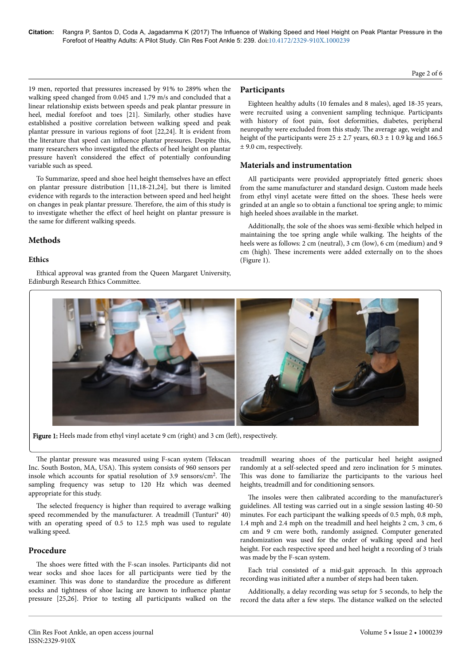**Citation:** Rangra P, Santos D, Coda A, Jagadamma K (2017) The Influence of Walking Speed and Heel Height on Peak Plantar Pressure in the Forefoot of Healthy Adults: A Pilot Study. Clin Res Foot Ankle 5: 239. doi:10.4172/2329-910X.1000239

Page 2 of 6

19 men, reported that pressures increased by 91% to 289% when the walking speed changed from 0.045 and 1.79 m/s and concluded that a linear relationship exists between speeds and peak plantar pressure in heel, medial forefoot and toes [21]. Similarly, other studies have established a positive correlation between walking speed and peak plantar pressure in various regions of foot [22,24]. It is evident from the literature that speed can influence plantar pressures. Despite this, many researchers who investigated the effects of heel height on plantar pressure haven't considered the effect of potentially confounding variable such as speed.

To Summarize, speed and shoe heel height themselves have an effect on plantar pressure distribution [11,18-21,24], but there is limited evidence with regards to the interaction between speed and heel height on changes in peak plantar pressure. Нerefore, the aim of this study is to investigate whether the effect of heel height on plantar pressure is the same for different walking speeds.

## **Methods**

#### **Ethics**

Ethical approval was granted from the Queen Margaret University, Edinburgh Research Ethics Committee.

#### **Participants**

Eighteen healthy adults (10 females and 8 males), aged 18-35 years, were recruited using a convenient sampling technique. Participants with history of foot pain, foot deformities, diabetes, peripheral neuropathy were excluded from this study. Нe average age, weight and height of the participants were  $25 \pm 2.7$  years,  $60.3 \pm 10.9$  kg and 166.5 ± 9.0 cm, respectively.

#### **Materials and instrumentation**

All participants were provided appropriately fitted generic shoes from the same manufacturer and standard design. Custom made heels from ethyl vinyl acetate were fitted on the shoes. Нese heels were grinded at an angle so to obtain a functional toe spring angle; to mimic high heeled shoes available in the market.

Additionally, the sole of the shoes was semi-flexible which helped in maintaining the toe spring angle while walking. Нe heights of the heels were as follows: 2 cm (neutral), 3 cm (low), 6 cm (medium) and 9 cm (high). Нese increments were added externally on to the shoes (Figure 1).



Figure 1: Heels made from ethyl vinyl acetate 9 cm (right) and 3 cm (left), respectively.

The plantar pressure was measured using F-scan system (Tekscan Inc. South Boston, MA, USA). Нis system consists of 960 sensors per insole which accounts for spatial resolution of 3.9 sensors/cm<sup>2</sup>. The sampling frequency was setup to 120 Hz which was deemed appropriate for this study.

The selected frequency is higher than required to average walking speed recommended by the manufacturer. A treadmill (Tunturi® 40) with an operating speed of 0.5 to 12.5 mph was used to regulate walking speed.

### **Procedure**

The shoes were fitted with the F-scan insoles. Participants did not wear socks and shoe laces for all participants were tied by the examiner. This was done to standardize the procedure as different socks and tightness of shoe lacing are known to influence plantar pressure [25,26]. Prior to testing all participants walked on the treadmill wearing shoes of the particular heel height assigned randomly at a self-selected speed and zero inclination for 5 minutes. This was done to familiarize the participants to the various heel heights, treadmill and for conditioning sensors.

The insoles were then calibrated according to the manufacturer's guidelines. All testing was carried out in a single session lasting 40-50 minutes. For each participant the walking speeds of 0.5 mph, 0.8 mph, 1.4 mph and 2.4 mph on the treadmill and heel heights 2 cm, 3 cm, 6 cm and 9 cm were both, randomly assigned. Computer generated randomization was used for the order of walking speed and heel height. For each respective speed and heel height a recording of 3 trials was made by the F-scan system.

Each trial consisted of a mid-gait approach. In this approach recording was initiated after a number of steps had been taken.

Additionally, a delay recording was setup for 5 seconds, to help the record the data after a few steps. The distance walked on the selected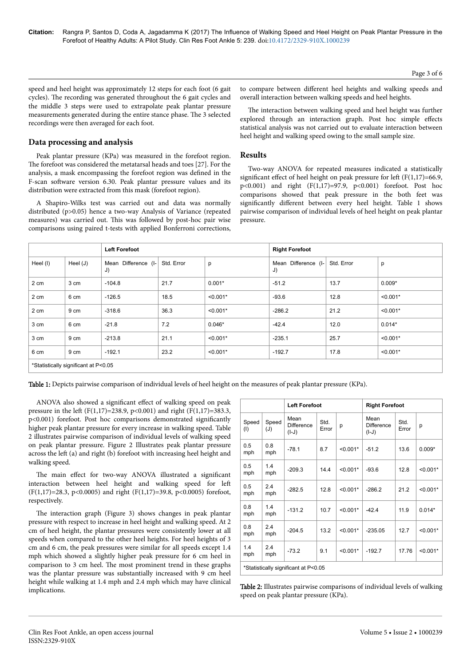Page 3 of 6

speed and heel height was approximately 12 steps for each foot (6 gait cycles). Нe recording was generated throughout the 6 gait cycles and the middle 3 steps were used to extrapolate peak plantar pressure measurements generated during the entire stance phase. Нe 3 selected recordings were then averaged for each foot.

## **Data processing and analysis**

Peak plantar pressure (KPa) was measured in the forefoot region. The forefoot was considered the metatarsal heads and toes [27]. For the analysis, a mask encompassing the forefoot region was defined in the F-scan software version 6.30. Peak plantar pressure values and its distribution were extracted from this mask (forefoot region).

A Shapiro-Wilks test was carried out and data was normally distributed (p>0.05) hence a two-way Analysis of Variance (repeated measures) was carried out. Нis was followed by post-hoc pair wise comparisons using paired t-tests with applied Bonferroni corrections,

to compare between different heel heights and walking speeds and overall interaction between walking speeds and heel heights.

The interaction between walking speed and heel height was further explored through an interaction graph. Post hoc simple effects statistical analysis was not carried out to evaluate interaction between heel height and walking speed owing to the small sample size.

#### **Results**

Two-way ANOVA for repeated measures indicated a statistically significant effect of heel height on peak pressure for left (F(1,17)=66.9,  $p < 0.001$ ) and right  $(F(1,17)=97.9, p < 0.001)$  forefoot. Post hoc comparisons showed that peak pressure in the both feet was significantly different between every heel height. Table 1 shows pairwise comparison of individual levels of heel height on peak plantar pressure.

|                                      |            | <b>Left Forefoot</b>      |            |            | <b>Right Forefoot</b>     |            |            |  |  |  |
|--------------------------------------|------------|---------------------------|------------|------------|---------------------------|------------|------------|--|--|--|
| Heel (I)                             | Heel $(J)$ | Mean Difference (I-<br>J) | Std. Error | p          | Mean Difference (I-<br>J) | Std. Error | p          |  |  |  |
| 2 cm                                 | 3 cm       | $-104.8$                  | 21.7       | $0.001*$   | $-51.2$                   | 13.7       | $0.009*$   |  |  |  |
| 2 cm                                 | 6 cm       | $-126.5$                  | 18.5       | $< 0.001*$ | $-93.6$                   | 12.8       | $< 0.001*$ |  |  |  |
| 2 cm                                 | 9 cm       | $-318.6$                  | 36.3       | $< 0.001*$ | $-286.2$                  | 21.2       | $< 0.001*$ |  |  |  |
| 3 cm                                 | 6 cm       | $-21.8$                   | 7.2        | $0.046*$   | $-42.4$                   | 12.0       | $0.014*$   |  |  |  |
| 3 cm                                 | 9 cm       | $-213.8$                  | 21.1       | $< 0.001*$ | $-235.1$                  | 25.7       | $< 0.001*$ |  |  |  |
| 6 cm                                 | 9 cm       | $-192.1$                  | 23.2       | $< 0.001*$ | $-192.7$                  | 17.8       | $< 0.001*$ |  |  |  |
| *Statistically significant at P<0.05 |            |                           |            |            |                           |            |            |  |  |  |

Table 1: Depicts pairwise comparison of individual levels of heel height on the measures of peak plantar pressure (KPa).

ANOVA also showed a significant effect of walking speed on peak pressure in the left (F(1,17)=238.9, p<0.001) and right (F(1,17)=383.3, p<0.001) forefoot. Post hoc comparisons demonstrated significantly higher peak plantar pressure for every increase in walking speed. Table 2 illustrates pairwise comparison of individual levels of walking speed on peak plantar pressure. Figure 2 Illustrates peak plantar pressure across the left (a) and right (b) forefoot with increasing heel height and walking speed.

The main effect for two-way ANOVA illustrated a significant interaction between heel height and walking speed for left (F(1,17)=28.3, p<0.0005) and right (F(1,17)=39.8, p<0.0005) forefoot, respectively.

The interaction graph (Figure 3) shows changes in peak plantar pressure with respect to increase in heel height and walking speed. At 2 cm of heel height, the plantar pressures were consistently lower at all speeds when compared to the other heel heights. For heel heights of 3 cm and 6 cm, the peak pressures were similar for all speeds except 1.4 mph which showed a slightly higher peak pressure for 6 cm heel in comparison to 3 cm heel. Нe most prominent trend in these graphs was the plantar pressure was substantially increased with 9 cm heel height while walking at 1.4 mph and 2.4 mph which may have clinical implications.

|                                      |              | <b>Left Forefoot</b>                 |               |            | <b>Right Forefoot</b>                |               |            |  |  |  |
|--------------------------------------|--------------|--------------------------------------|---------------|------------|--------------------------------------|---------------|------------|--|--|--|
| Speed<br>(1)                         | Speed<br>(J) | Mean<br><b>Difference</b><br>$(I-J)$ | Std.<br>Error | р          | Mean<br><b>Difference</b><br>$(L-I)$ | Std.<br>Error | p          |  |  |  |
| 0.5<br>mph                           | 0.8<br>mph   | $-78.1$                              | 8.7           | $< 0.001*$ | $-51.2$                              | 13.6          | $0.009*$   |  |  |  |
| 0.5<br>mph                           | 1.4<br>mph   | $-209.3$                             | 14.4          | $< 0.001*$ | $-93.6$                              | 12.8          | $< 0.001*$ |  |  |  |
| 0.5<br>mph                           | 2.4<br>mph   | $-282.5$                             | 12.8          | $< 0.001*$ | $-286.2$                             | 21.2          | $< 0.001*$ |  |  |  |
| 0.8<br>mph                           | 14<br>mph    | $-131.2$                             | 10.7          | $< 0.001*$ | $-42.4$                              | 11.9          | $0.014*$   |  |  |  |
| 0.8<br>mph                           | 2.4<br>mph   | $-204.5$                             | 13.2          | $< 0.001*$ | $-235.05$                            | 12.7          | $< 0.001*$ |  |  |  |
| 1.4<br>mph                           | 2.4<br>mph   | $-73.2$                              | 9.1           | $< 0.001*$ | $-192.7$                             | 17.76         | $< 0.001*$ |  |  |  |
| *Statistically significant at P<0.05 |              |                                      |               |            |                                      |               |            |  |  |  |

Table 2: Illustrates pairwise comparisons of individual levels of walking speed on peak plantar pressure (KPa).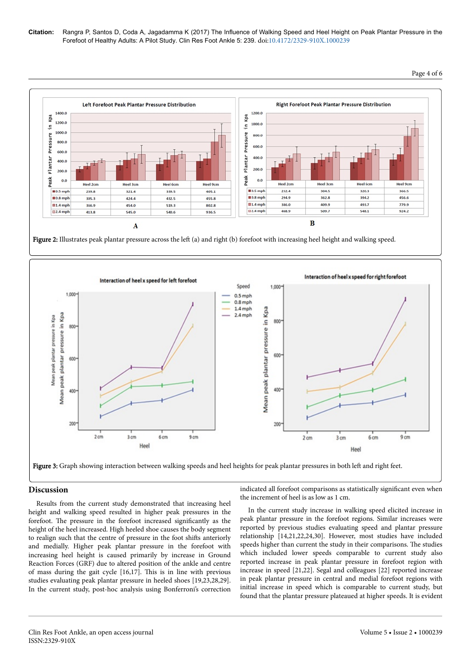

Figure 2: Illustrates peak plantar pressure across the left (a) and right (b) forefoot with increasing heel height and walking speed.



Figure 3: Graph showing interaction between walking speeds and heel heights for peak plantar pressures in both left and right feet.

# **Discussion**

Results from the current study demonstrated that increasing heel height and walking speed resulted in higher peak pressures in the forefoot. Нe pressure in the forefoot increased significantly as the height of the heel increased. High heeled shoe causes the body segment to realign such that the centre of pressure in the foot shifts anteriorly and medially. Higher peak plantar pressure in the forefoot with increasing heel height is caused primarily by increase in Ground Reaction Forces (GRF) due to altered position of the ankle and centre of mass during the gait cycle [16,17]. Нis is in line with previous studies evaluating peak plantar pressure in heeled shoes [19,23,28,29]. In the current study, post-hoc analysis using Bonferroni's correction

indicated all forefoot comparisons as statistically significant even when the increment of heel is as low as 1 cm.

In the current study increase in walking speed elicited increase in peak plantar pressure in the forefoot regions. Similar increases were reported by previous studies evaluating speed and plantar pressure relationship [14,21,22,24,30]. However, most studies have included speeds higher than current the study in their comparisons. Нe studies which included lower speeds comparable to current study also reported increase in peak plantar pressure in forefoot region with increase in speed [21,22]. Segal and colleagues [22] reported increase in peak plantar pressure in central and medial forefoot regions with initial increase in speed which is comparable to current study, but found that the plantar pressure plateaued at higher speeds. It is evident

#### Page 4 of 6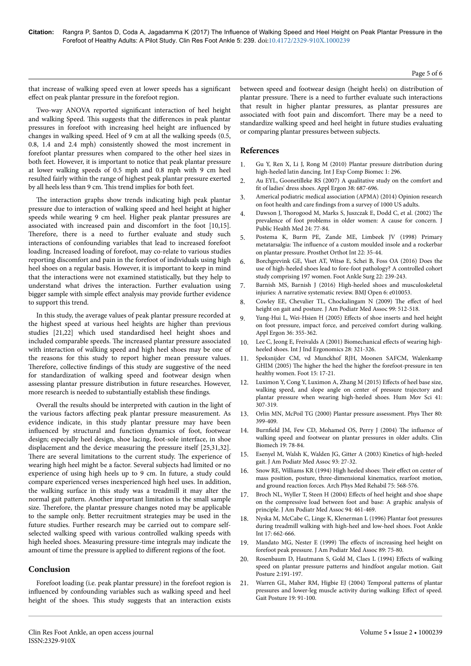that increase of walking speed even at lower speeds has a significant effect on peak plantar pressure in the forefoot region.

Two-way ANOVA reported significant interaction of heel height and walking Speed. This suggests that the differences in peak plantar pressures in forefoot with increasing heel height are influenced by changes in walking speed. Heel of 9 cm at all the walking speeds (0.5, 0.8, 1.4 and 2.4 mph) consistently showed the most increment in forefoot plantar pressures when compared to the other heel sizes in both feet. However, it is important to notice that peak plantar pressure at lower walking speeds of 0.5 mph and 0.8 mph with 9 cm heel resulted fairly within the range of highest peak plantar pressure exerted by all heels less than 9 cm. Нis trend implies for both feet.

The interaction graphs show trends indicating high peak plantar pressure due to interaction of walking speed and heel height at higher speeds while wearing 9 cm heel. Higher peak plantar pressures are associated with increased pain and discomfort in the foot [10,15]. Therefore, there is a need to further evaluate and study such interactions of confounding variables that lead to increased forefoot loading. Increased loading of forefoot, may co-relate to various studies reporting discomfort and pain in the forefoot of individuals using high heel shoes on a regular basis. However, it is important to keep in mind that the interactions were not examined statistically, but they help to understand what drives the interaction. Further evaluation using bigger sample with simple effect analysis may provide further evidence to support this trend.

In this study, the average values of peak plantar pressure recorded at the highest speed at various heel heights are higher than previous studies [21,22] which used standardised heel height shoes and included comparable speeds. Нe increased plantar pressure associated with interaction of walking speed and high heel shoes may be one of the reasons for this study to report higher mean pressure values. Therefore, collective findings of this study are suggestive of the need for standardization of walking speed and footwear design when assessing plantar pressure distribution in future researches. However, more research is needed to substantially establish these findings.

Overall the results should be interpreted with caution in the light of the various factors affecting peak plantar pressure measurement. As evidence indicate, in this study plantar pressure may have been influenced by structural and function dynamics of foot, footwear design; especially heel design, shoe lacing, foot-sole interface, in shoe displacement and the device measuring the pressure itself [25,31,32]. There are several limitations to the current study. The experience of wearing high heel might be a factor. Several subjects had limited or no experience of using high heels up to 9 cm. In future, a study could compare experienced verses inexperienced high heel uses. In addition, the walking surface in this study was a treadmill it may alter the normal gait pattern. Another important limitation is the small sample size. Therefore, the plantar pressure changes noted may be applicable to the sample only. Better recruitment strategies may be used in the future studies. Further research may be carried out to compare selfselected walking speed with various controlled walking speeds with high heeled shoes. Measuring pressure-time integrals may indicate the amount of time the pressure is applied to different regions of the foot.

## **Conclusion**

Forefoot loading (i.e. peak plantar pressure) in the forefoot region is influenced by confounding variables such as walking speed and heel height of the shoes. Нis study suggests that an interaction exists between speed and footwear design (height heels) on distribution of plantar pressure. Нere is a need to further evaluate such interactions that result in higher plantar pressures, as plantar pressures are associated with foot pain and discomfort. Нere may be a need to standardize walking speed and heel height in future studies evaluating or comparing plantar pressures between subjects.

### **References**

- 1. [Gu Y, Ren X, Li J, Rong M \(2010\) Plantar pressure distribution during](http://dx.doi.org/10.1504/IJECB.2010.035262) [high-heeled latin dancing. Int J Exp Comp Biomec 1: 296.](http://dx.doi.org/10.1504/IJECB.2010.035262)
- 2. [Au EYL, Goonetilleke RS \(2007\) A qualitative study on the comfort and](http://dx.doi.org/10.1016/j.apergo.2006.12.002) fit [of ladies' dress shoes. Appl Ergon 38: 687-696.](http://dx.doi.org/10.1016/j.apergo.2006.12.002)
- 3. Americal podiatric medical association (APMA) (2014) Opinion research on foot health and care findings from a survey of 1000 US adults.
- 4. Dawson J, Нorogood [M, Marks S, Juszczak E, Dodd C, et al. \(2002\)](http://dx.doi.org/10.1093/pubmed/24.2.77) Нe [prevalence of foot problems in older women: A cause for concern. J](http://dx.doi.org/10.1093/pubmed/24.2.77) [Public Health Med 24: 77-84.](http://dx.doi.org/10.1093/pubmed/24.2.77)
- 5. [Postema K, Burm PE, Zande ME, Limbeek JV \(1998\) Primary](https://doi.org/10.3109/03093649809164455) metatarsalgia: Нe influence [of a custom moulded insole and a rockerbar](https://doi.org/10.3109/03093649809164455) [on plantar pressure. Prosthet Orthot Int 22: 35-44.](https://doi.org/10.3109/03093649809164455)
- 6. [Borchgrevink GE, Viset AT, Witsø E, Schei B, Foss OA \(2016\) Does the](http://dx.doi.org/10.1016/j.fas.2015.10.004) [use of high-heeled shoes lead to fore-foot pathology? A controlled cohort](http://dx.doi.org/10.1016/j.fas.2015.10.004) [study comprising 197 women. Foot Ankle Surg 22: 239-243.](http://dx.doi.org/10.1016/j.fas.2015.10.004)
- 7. [Barnish MS, Barnish J \(2016\) High-heeled shoes and musculoskeletal](https://doi.org/10.1136/bmjopen-2015-010053) [injuries: A narrative systematic review. BMJ Open 6: e010053.](https://doi.org/10.1136/bmjopen-2015-010053)
- 8. [Cowley EE, Chevalier TL, Chockalingam N \(2009\)](https://doi.org/10.7547/0990512) The effect of heel [height on gait and posture. J Am Podiatr Med Assoc 99: 512-518.](https://doi.org/10.7547/0990512)
- 9. [Yung-Hui L, Wei-Hsien H \(2005\)](https://doi.org/10.1016/j.apergo.2004.11.001) Effects of shoe inserts and heel height [on foot pressure, impact force, and perceived comfort during walking.](https://doi.org/10.1016/j.apergo.2004.11.001) [Appl Ergon 36: 355-362.](https://doi.org/10.1016/j.apergo.2004.11.001)
- 10. [Lee C, Jeong E, Freivalds A \(2001\) Biomechanical](http://dx.doi.org/10.1016/s0169-8141(01)00038-5) effects of wearing high[heeled shoes. Int J Ind Ergonomics 28: 321-326.](http://dx.doi.org/10.1016/s0169-8141(01)00038-5)
- 11. [Speksnijder CM, vd Munckhof RJH, Moonen SAFCM, Walenkamp](http://dx.doi.org/10.1016/j.foot.2004.10.001) GHIM (2005) The [higher the heel the higher the forefoot-pressure in ten](http://dx.doi.org/10.1016/j.foot.2004.10.001) [healthy women. Foot 15: 17-21.](http://dx.doi.org/10.1016/j.foot.2004.10.001)
- 12. [Luximon Y, Cong Y, Luximon A, Zhang M \(2015\)](https://doi.org/10.1016/j.humov.2015.04.003) Effects of heel base size, [walking speed, and slope angle on center of pressure trajectory and](https://doi.org/10.1016/j.humov.2015.04.003) [plantar pressure when wearing high-heeled shoes. Hum Mov Sci 41:](https://doi.org/10.1016/j.humov.2015.04.003) [307-319.](https://doi.org/10.1016/j.humov.2015.04.003)
- 13. Orlin MN, McPoil TG (2000) Plantar pressure assessment. Phys Ther 80: 399-409.
- 14. Burnfield [JM, Few CD, Mohamed OS, Perry J \(2004\)](http://dx.doi.org/10.1016/j.clinbiomech.2003.09.007) The influence of [walking speed and footwear on plantar pressures in older adults. Clin](http://dx.doi.org/10.1016/j.clinbiomech.2003.09.007) [Biomech 19: 78-84.](http://dx.doi.org/10.1016/j.clinbiomech.2003.09.007)
- 15. [Esenyel M, Walsh K, Walden JG, Gitter A \(2003\) Kinetics of high-heeled](http://dx.doi.org/10.7547/87507315-93-1-27) [gait. J Am Podiatr Med Assoc 93: 27-32.](http://dx.doi.org/10.7547/87507315-93-1-27)
- 16. Snow RE, Williams KR (1994) High heeled shoes: Their effect on center of mass position, posture, three-dimensional kinematics, rearfoot motion, and ground reaction forces. Arch Phys Med Rehabil 75: 568-576.
- Broch NL, Wyller T, Steen H (2004) Effects of heel height and shoe shape on the compressive load between foot and base: A graphic analysis of principle. J Am Podiatr Med Assoc 94: 461-469.
- 18. [Nyska M, McCabe C, Linge K, Klenerman L \(1996\) Plantar foot pressures](https://doi.org/10.1177/107110079601701103) [during treadmill walking with high-heel and low-heel shoes. Foot Ankle](https://doi.org/10.1177/107110079601701103) [Int 17: 662-666.](https://doi.org/10.1177/107110079601701103)
- 19. [Mandato MG, Nester E \(1999\)](http://dx.doi.org/10.7547/87507315-89-2-75) The effects of increasing heel height on [forefoot peak pressure. J Am Podiatr Med Assoc 89: 75-80.](http://dx.doi.org/10.7547/87507315-89-2-75)
- 20. [Rosenbaum D, Hautmann S, Gold M, Claes L \(1994\)](http://dx.doi.org/10.1016/0966-6362(94)90007-8) Effects of walking [speed on plantar pressure patterns and hindfoot angular motion. Gait](http://dx.doi.org/10.1016/0966-6362(94)90007-8) [Posture 2:191-197.](http://dx.doi.org/10.1016/0966-6362(94)90007-8)
- 21. [Warren GL, Maher RM, Higbie EJ \(2004\) Temporal patterns of plantar](http://dx.doi.org/10.1016/s0966-6362(03)00031-6) [pressures and lower-leg muscle activity during walking:](http://dx.doi.org/10.1016/s0966-6362(03)00031-6) Effect of speed. [Gait Posture 19: 91-100.](http://dx.doi.org/10.1016/s0966-6362(03)00031-6)